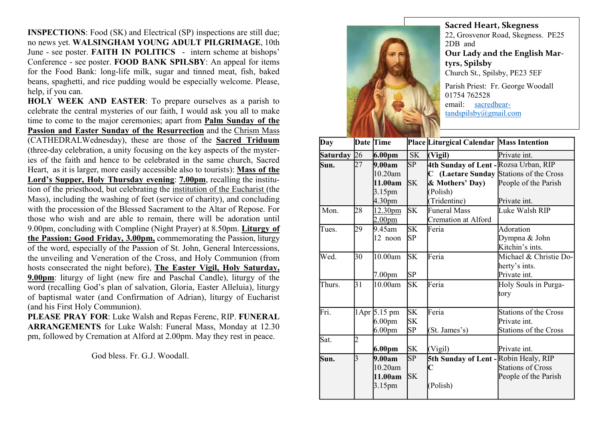INSPECTIONS: Food (SK) and Electrical (SP) inspections are still due; no news yet. WALSINGHAM YOUNG ADULT PILGRIMAGE, 10th June - see poster. FAITH IN POLITICS - intern scheme at bishops' Conference - see poster. FOOD BANK SPILSBY: An appeal for items for the Food Bank: long-life milk, sugar and tinned meat, fish, baked beans, spaghetti, and rice pudding would be especially welcome. Please, help, if you can.

HOLY WEEK AND EASTER: To prepare ourselves as a parish to celebrate the central mysteries of our faith, I would ask you all to make time to come to the major ceremonies; apart from Palm Sunday of the Passion and Easter Sunday of the Resurrection and the Chrism Mass (CATHEDRALWednesday), these are those of the Sacred Triduum (three-day celebration, a unity focusing on the key aspects of the mysteries of the faith and hence to be celebrated in the same church, Sacred Heart, as it is larger, more easily accessible also to tourists): Mass of the Lord's Supper, Holy Thursday evening: 7.00pm, recalling the institution of the priesthood, but celebrating the institution of the Eucharist (the Mass), including the washing of feet (service of charity), and concluding with the procession of the Blessed Sacrament to the Altar of Repose. For those who wish and are able to remain, there will be adoration until 9.00pm, concluding with Compline (Night Prayer) at 8.50pm. Liturgy of the Passion: Good Friday, 3.00pm, commemorating the Passion, liturgy of the word, especially of the Passion of St. John, General Intercessions, the unveiling and Veneration of the Cross, and Holy Communion (from hosts consecrated the night before), The Easter Vigil, Holy Saturday, 9.00pm: liturgy of light (new fire and Paschal Candle), liturgy of the word (recalling God's plan of salvation, Gloria, Easter Alleluia), liturgy of baptismal water (and Confirmation of Adrian), liturgy of Eucharist (and his First Holy Communion).

PLEASE PRAY FOR: Luke Walsh and Repas Ferenc, RIP. FUNERAL ARRANGEMENTS for Luke Walsh: Funeral Mass, Monday at 12.30 pm, followed by Cremation at Alford at 2.00pm. May they rest in peace.

God bless. Fr. G.J. Woodall.



Sacred Heart, Skegness 22, Grosvenor Road, Skegness. PE25 2DB and Our Lady and the English Martyrs, Spilsby Church St., Spilsby, PE23 5EF Parish Priest: Fr. George Woodall 01754 762528 email: sacredhear-

tandspilsby@gmail.com

| Day         |                | Date Time          |                        | Place Liturgical Calendar Mass Intention |                              |
|-------------|----------------|--------------------|------------------------|------------------------------------------|------------------------------|
| Saturday 26 |                | 6.00 <sub>pm</sub> | <b>SK</b>              | (Vigil)                                  | Private int.                 |
| Sun.        | 27             | 9.00am             | SP                     | 4th Sunday of Lent - Rozsa Urban, RIP    |                              |
|             |                | 10.20am            |                        | C (Laetare Sunday Stations of the Cross  |                              |
|             |                | 11.00am            | <b>SK</b>              | & Mothers' Day)                          | People of the Parish         |
|             |                | 3.15 <sub>pm</sub> |                        | (Polish)                                 |                              |
|             |                | 4.30pm             |                        | (Tridentine)                             | Private int.                 |
| Mon.        | 28             | 12.30pm            | <b>SK</b>              | <b>Funeral Mass</b>                      | Luke Walsh RIP               |
|             |                | 2.00 <sub>pm</sub> |                        | <b>Cremation at Alford</b>               |                              |
| Tues.       | 29             | 9.45am             | SK                     | Feria                                    | Adoration                    |
|             |                | 12 noon            | SP                     |                                          | Dympna & John                |
|             |                |                    |                        |                                          | Kitchin's ints.              |
| Wed.        | 30             | 10.00am            | <b>SK</b>              | Feria                                    | Michael & Christie Do-       |
|             |                |                    |                        |                                          | herty's ints.                |
|             |                | 7.00 <sub>pm</sub> | SP                     |                                          | Private int.                 |
| Thurs.      | 31             | 10.00am            | <b>SK</b>              | Feria                                    | Holy Souls in Purga-         |
|             |                |                    |                        |                                          | tory                         |
|             |                |                    |                        |                                          |                              |
| Fri.        |                | 1Apr 5.15 pm       | $\overline{\text{SK}}$ | Feria                                    | Stations of the Cross        |
|             |                | 6.00 <sub>pm</sub> | <b>SK</b>              |                                          | Private int.                 |
|             |                | 6.00 <sub>pm</sub> | SP                     | (St. James's)                            | <b>Stations of the Cross</b> |
| Sat.        | $\overline{c}$ |                    |                        |                                          |                              |
|             |                | 6.00pm             | <b>SK</b>              | (Vigil)                                  | Private int.                 |
| Sun.        | l3             | 9.00am             | SP                     | 5th Sunday of Lent - Robin Healy, RIP    |                              |
|             |                | 10.20am            |                        | C                                        | Stations of Cross            |
|             |                | 11.00am            | <b>SK</b>              |                                          | People of the Parish         |
|             |                | 3.15pm             |                        | (Polish)                                 |                              |
|             |                |                    |                        |                                          |                              |